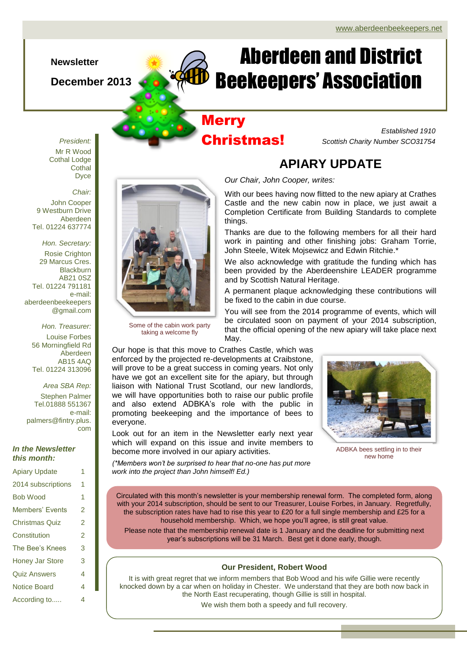## **Newsletter**

**December 2013**

# Aberdeen and District Beekeepers' Association

## **Merry** Christmas!

*Established 1910 Scottish Charity Number SCO31754*

*President:* Mr R Wood Cothal Lodge **Cothal** Dyce

## *Chair:*

John Cooper 9 Westburn Drive Aberdeen Tel. 01224 637774

*Hon. Secretary:* Rosie Crighton 29 Marcus Cres. **Blackburn** AB21 0SZ Tel. 01224 791181 e-mail: aberdeenbeekeepers @gmail.com

> *Hon. Treasurer:* Louise Forbes 56 Morningfield Rd Aberdeen AB15 4AQ Tel. 01224 313096

*Area SBA Rep:* Stephen Palmer Tel.01888 551367 e-mail: palmers@fintry.plus. com

## *In the Newsletter this month:*

| <b>Apiary Update</b>   | 1 |
|------------------------|---|
| 2014 subscriptions     | 1 |
| <b>Bob Wood</b>        | 1 |
| <b>Members' Events</b> | 2 |
| <b>Christmas Quiz</b>  | 2 |
| Constitution           | 2 |
| The Bee's Knees        | 3 |
| Honey Jar Store        | 3 |
| <b>Quiz Answers</b>    | 4 |
| <b>Notice Board</b>    | 4 |
| According to           | 4 |



Some of the cabin work party taking a welcome fly

# **APIARY UPDATE**

*Our Chair, John Cooper, writes:*

With our bees having now flitted to the new apiary at Crathes Castle and the new cabin now in place, we just await a Completion Certificate from Building Standards to complete things.

Thanks are due to the following members for all their hard work in painting and other finishing jobs: Graham Torrie, John Steele, Witek Mojsewicz and Edwin Ritchie.\*

We also acknowledge with gratitude the funding which has been provided by the Aberdeenshire LEADER programme and by Scottish Natural Heritage.

A permanent plaque acknowledging these contributions will be fixed to the cabin in due course.

You will see from the 2014 programme of events, which will be circulated soon on payment of your 2014 subscription, that the official opening of the new apiary will take place next May.

Our hope is that this move to Crathes Castle, which was enforced by the projected re-developments at Craibstone, will prove to be a great success in coming years. Not only have we got an excellent site for the apiary, but through liaison with National Trust Scotland, our new landlords, we will have opportunities both to raise our public profile and also extend ADBKA's role with the public in promoting beekeeping and the importance of bees to everyone.

Look out for an item in the Newsletter early next year which will expand on this issue and invite members to become more involved in our apiary activities. ADBKA bees settling in to their



new home

*(\*Members won't be surprised to hear that no-one has put more work into the project than John himself! Ed.)*

Circulated with this month's newsletter is your membership renewal form. The completed form, along with your 2014 subscription, should be sent to our Treasurer, Louise Forbes, in January. Regretfully, the subscription rates have had to rise this year to £20 for a full single membership and £25 for a household membership. Which, we hope you'll agree, is still great value.

Please note that the membership renewal date is 1 January and the deadline for submitting next year's subscriptions will be 31 March. Best get it done early, though.

## **Our President, Robert Wood**

It is with great regret that we inform members that Bob Wood and his wife Gillie were recently knocked down by a car when on holiday in Chester. We understand that they are both now back in the North East recuperating, though Gillie is still in hospital. We wish them both a speedy and full recovery.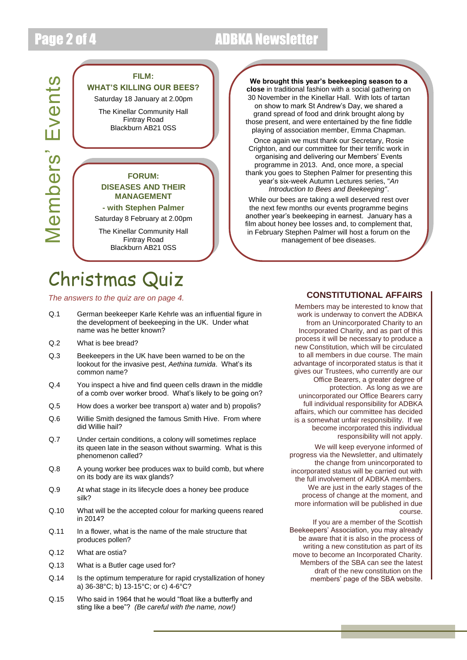# Page 2 of 4 **ADBKA** Newsletter

# Members' Events Members' Events

**FILM:**

## **WHAT'S KILLING OUR BEES?**

Saturday 18 January at 2.00pm

The Kinellar Community Hall Fintray Road Blackburn AB21 0SS

## **FORUM: DISEASES AND THEIR MANAGEMENT**

**- with Stephen Palmer**

Saturday 8 February at 2.00pm

The Kinellar Community Hall Fintray Road Blackburn AB21 0SS

# Christmas Quiz

## *The answers to the quiz are on page 4.*

- Q.1 German beekeeper Karle Kehrle was an influential figure in the development of beekeeping in the UK. Under what name was he better known?
- Q.2 What is bee bread?
- Q.3 Beekeepers in the UK have been warned to be on the lookout for the invasive pest, *Aethina tumida*. What's its common name?
- Q.4 You inspect a hive and find queen cells drawn in the middle of a comb over worker brood. What's likely to be going on?
- Q.5 How does a worker bee transport a) water and b) propolis?
- Q.6 Willie Smith designed the famous Smith Hive. From where did Willie hail?
- Q.7 Under certain conditions, a colony will sometimes replace its queen late in the season without swarming. What is this phenomenon called?
- Q.8 A young worker bee produces wax to build comb, but where on its body are its wax glands?
- Q.9 At what stage in its lifecycle does a honey bee produce silk?
- Q.10 What will be the accepted colour for marking queens reared in 2014?
- Q.11 In a flower, what is the name of the male structure that produces pollen?
- Q.12 What are ostia?
- Q.13 What is a Butler cage used for?
- Q.14 Is the optimum temperature for rapid crystallization of honey a) 36-38°C; b) 13-15°C; or c) 4-6°C?
- Q.15 Who said in 1964 that he would "float like a butterfly and sting like a bee"? *(Be careful with the name, now!)*

**We brought this year's beekeeping season to a close** in traditional fashion with a social gathering on 30 November in the Kinellar Hall. With lots of tartan on show to mark St Andrew's Day, we shared a grand spread of food and drink brought along by those present, and were entertained by the fine fiddle playing of association member, Emma Chapman. Once again we must thank our Secretary, Rosie Crighton, and our committee for their terrific work in organising and delivering our Members' Events programme in 2013. And, once more, a special thank you goes to Stephen Palmer for presenting this year's six-week Autumn Lectures series, "*An Introduction to Bees and Beekeeping"*.

While our bees are taking a well deserved rest over the next few months our events programme begins another year's beekeeping in earnest. January has a film about honey bee losses and, to complement that, in February Stephen Palmer will host a forum on the management of bee diseases.

## **CONSTITUTIONAL AFFAIRS**

Incorporated Charity, and as part of this Members may be interested to know that work is underway to convert the ADBKA from an Unincorporated Charity to an process it will be necessary to produce a new Constitution, which will be circulated to all members in due course. The main advantage of incorporated status is that it gives our Trustees, who currently are our Office Bearers, a greater degree of protection. As long as we are unincorporated our Office Bearers carry full individual responsibility for ADBKA affairs, which our committee has decided is a somewhat unfair responsibility. If we become incorporated this individual responsibility will not apply. We will keep everyone informed of progress via the Newsletter, and ultimately the change from unincorporated to incorporated status will be carried out with the full involvement of ADBKA members. We are just in the early stages of the process of change at the moment, and more information will be published in due course.

If you are a member of the Scottish Beekeepers' Association, you may already be aware that it is also in the process of writing a new constitution as part of its move to become an Incorporated Charity. Members of the SBA can see the latest draft of the new constitution on the members' page of the SBA website.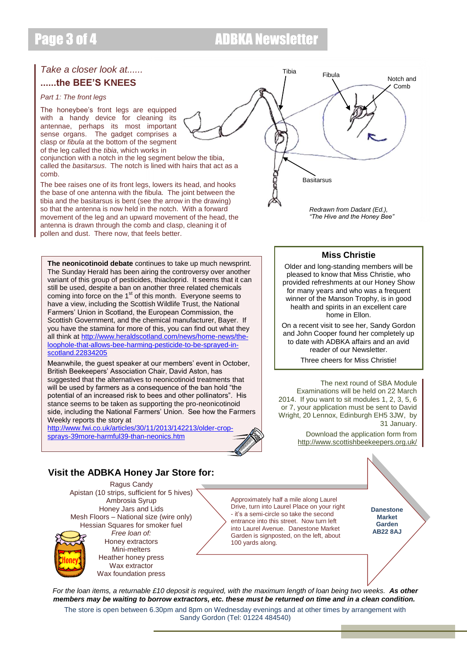# Page 3 of 4 ADBKA Newsletter

## *Take a closer look at......* **......the BEE'S KNEES**

### *Part 1: The front legs*

The honeybee's front legs are equipped with a handy device for cleaning its antennae, perhaps its most important sense organs. The gadget comprises a clasp or *fibula* at the bottom of the segment of the leg called the *tibia*, which works in

conjunction with a notch in the leg segment below the tibia, called the *basitarsus*. The notch is lined with hairs that act as a comb.

The bee raises one of its front legs, lowers its head, and hooks the base of one antenna with the fibula. The joint between the tibia and the basitarsus is bent (see the arrow in the drawing) so that the antenna is now held in the notch. With a forward movement of the leg and an upward movement of the head, the antenna is drawn through the comb and clasp, cleaning it of pollen and dust. There now, that feels better.

**The neonicotinoid debate** continues to take up much newsprint. The Sunday Herald has been airing the controversy over another variant of this group of pesticides, thiacloprid. It seems that it can still be used, despite a ban on another three related chemicals coming into force on the 1<sup>st</sup> of this month. Everyone seems to have a view, including the Scottish Wildlife Trust, the National Farmers' Union in Scotland, the European Commission, the Scottish Government, and the chemical manufacturer, Bayer. If you have the stamina for more of this, you can find out what they all think a[t http://www.heraldscotland.com/news/home-news/the](http://www.heraldscotland.com/news/home-news/the-loophole-that-allows-bee-harming-pesticide-to-be-sprayed-in-scotland.22834205)[loophole-that-allows-bee-harming-pesticide-to-be-sprayed-in](http://www.heraldscotland.com/news/home-news/the-loophole-that-allows-bee-harming-pesticide-to-be-sprayed-in-scotland.22834205)[scotland.22834205](http://www.heraldscotland.com/news/home-news/the-loophole-that-allows-bee-harming-pesticide-to-be-sprayed-in-scotland.22834205)

Meanwhile, the guest speaker at our members' event in October, British Beekeepers' Association Chair, David Aston, has suggested that the alternatives to neonicotinoid treatments that will be used by farmers as a consequence of the ban hold "the potential of an increased risk to bees and other pollinators". His stance seems to be taken as supporting the pro-neonicotinoid side, including the National Farmers' Union. See how the Farmers Weekly reports the story at

[http://www.fwi.co.uk/articles/30/11/2013/142213/older-crop](http://www.fwi.co.uk/articles/30/11/2013/142213/older-crop-sprays-39more-harmful39-than-neonics.htm)[sprays-39more-harmful39-than-neonics.htm](http://www.fwi.co.uk/articles/30/11/2013/142213/older-crop-sprays-39more-harmful39-than-neonics.htm)

## **Visit the ADBKA Honey Jar Store for:**

Ragus Candy Apistan (10 strips, sufficient for 5 hives) Ambrosia Syrup Honey Jars and Lids Mesh Floors – National size (wire only) Hessian Squares for smoker fuel *Free loan of:*

Honey extractors Mini-melters Heather honey press Wax extractor Wax foundation press

*Redrawn from Dadant (Ed.),*  Tibia **Basitarsus** Fibula Notch and C<sub>omb</sub>

*"The Hive and the Honey Bee"*

## **Miss Christie**

Older and long-standing members will be pleased to know that Miss Christie, who provided refreshments at our Honey Show for many years and who was a frequent winner of the Manson Trophy, is in good health and spirits in an excellent care home in Ellon.

On a recent visit to see her, Sandy Gordon and John Cooper found her completely up to date with ADBKA affairs and an avid reader of our Newsletter.

Three cheers for Miss Christie!

The next round of SBA Module Examinations will be held on 22 March 2014. If you want to sit modules 1, 2, 3, 5, 6 or 7, your application must be sent to David Wright, 20 Lennox, Edinburgh EH5 3JW, by 31 January.

> Download the application form from <http://www.scottishbeekeepers.org.uk/>

Approximately half a mile along Laurel Drive, turn into Laurel Place on your right - it's a semi-circle so take the second entrance into this street. Now turn left into Laurel Avenue. Danestone Market Garden is signposted, on the left, about 100 yards along.

**Danestone Market Garden AB22 8AJ**

*For the loan items, a returnable £10 deposit is required, with the maximum length of loan being two weeks. As other members may be waiting to borrow extractors, etc. these must be returned on time and in a clean condition.* The store is open between 6.30pm and 8pm on Wednesday evenings and at other times by arrangement with

Sandy Gordon (Tel: 01224 484540)